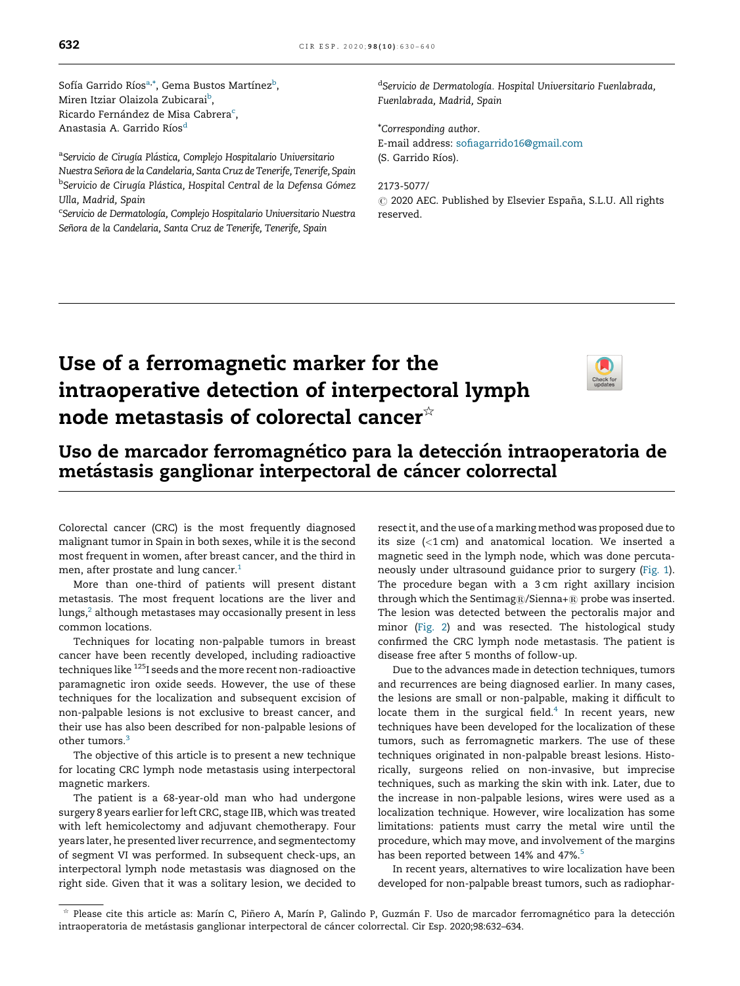Sofía Garrido Ríos<sup>a,</sup>\*, Gema Bustos Martínez<sup>b</sup>, Miren Itziar Olaizola Zubicarai<sup>b</sup>, Ricardo Fernández de Misa Cabrera<sup>c</sup>, Anastasia A. Garrido Ríos<sup>d</sup>

<sup>a</sup>Servicio de Cirugía Plástica, Complejo Hospitalario Universitario Nuestra Señora de la Candelaria, Santa Cruz de Tenerife, Tenerife, Spain <sup>b</sup>Servicio de Cirugía Plástica, Hospital Central de la Defensa Gómez Ulla, Madrid, Spain

<sup>c</sup>Servicio de Dermatología, Complejo Hospitalario Universitario Nuestra Señora de la Candelaria, Santa Cruz de Tenerife, Tenerife, Spain

<sup>d</sup>Servicio de Dermatología. Hospital Universitario Fuenlabrada, Fuenlabrada, Madrid, Spain

\*Corresponding author. E-mail address: [sofiagarrido16@gmail.com](mailto:sofiagarrido16@gmail.com) (S. Garrido Ríos).

2173-5077/  $\odot$  2020 AEC. Published by Elsevier España, S.L.U. All rights reserved.

## Use of a ferromagnetic marker for the intraoperative detection of interpectoral lymph node metastasis of colorectal cancer $*$



### Uso de marcador ferromagnético para la detección intraoperatoria de metástasis ganglionar interpectoral de cáncer colorrectal

Colorectal cancer (CRC) is the most frequently diagnosed malignant tumor in Spain in both sexes, while it is the second most frequent in women, after breast cancer, and the third in men, after prostate and lung cancer.<sup>[1](#page-1-0)</sup>

More than one-third of patients will present distant metastasis. The most frequent locations are the liver and lungs, $^2$  $^2$  although metastases may occasionally present in less common locations.

Techniques for locating non-palpable tumors in breast cancer have been recently developed, including radioactive techniques like <sup>125</sup>I seeds and the more recent non-radioactive paramagnetic iron oxide seeds. However, the use of these techniques for the localization and subsequent excision of non-palpable lesions is not exclusive to breast cancer, and their use has also been described for non-palpable lesions of other tumors.<sup>[3](#page-1-0)</sup>

The objective of this article is to present a new technique for locating CRC lymph node metastasis using interpectoral magnetic markers.

The patient is a 68-year-old man who had undergone surgery 8 years earlier for left CRC, stage IIB, which was treated with left hemicolectomy and adjuvant chemotherapy. Four years later, he presented liver recurrence, and segmentectomy of segment VI was performed. In subsequent check-ups, an interpectoral lymph node metastasis was diagnosed on the right side. Given that it was a solitary lesion, we decided to

resectit, and the use of a marking method was proposed due to its size (<1 cm) and anatomical location. We inserted a magnetic seed in the lymph node, which was done percutaneously under ultrasound guidance prior to surgery (Fig. 1). The procedure began with a 3 cm right axillary incision through which the Sentimag $@/S$ ienna+ $@$  probe was inserted. The lesion was detected between the pectoralis major and minor (Fig. 2) and was resected. The histological study confirmed the CRC lymph node metastasis. The patient is disease free after 5 months of follow-up.

Due to the advances made in detection techniques, tumors and recurrences are being diagnosed earlier. In many cases, the lesions are small or non-palpable, making it difficult to locate them in the surgical field. $4$  In recent years, new techniques have been developed for the localization of these tumors, such as ferromagnetic markers. The use of these techniques originated in non-palpable breast lesions. Historically, surgeons relied on non-invasive, but imprecise techniques, such as marking the skin with ink. Later, due to the increase in non-palpable lesions, wires were used as a localization technique. However, wire localization has some limitations: patients must carry the metal wire until the procedure, which may move, and involvement of the margins has been reported between 14% and 47%.<sup>[5](#page-2-0)</sup>

In recent years, alternatives to wire localization have been developed for non-palpable breast tumors, such as radiophar-

<sup>§</sup> Please cite this article as: Marín C, Piñero A, Marín P, Galindo P, Guzmán F. Uso de marcador ferromagnético para la detección intraoperatoria de metástasis ganglionar interpectoral de cáncer colorrectal. Cir Esp. 2020;98:632-634.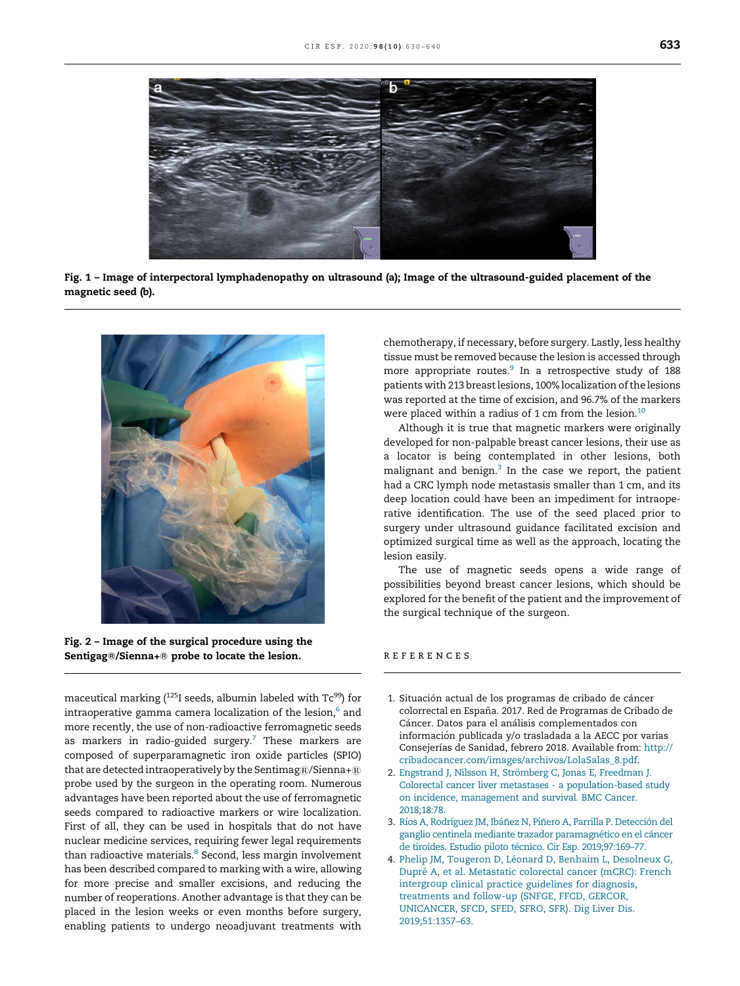<span id="page-1-0"></span>

Fig. 1 – Image of interpectoral lymphadenopathy on ultrasound (a); Image of the ultrasound-guided placement of the magnetic seed (b).



Fig. 2 – Image of the surgical procedure using the Sentigag®/Sienna+® probe to locate the lesion.

maceutical marking (<sup>125</sup>I seeds, albumin labeled with Tc<sup>99</sup>) for intraoperative gamma camera localization of the lesion, $^{\rm 6}$  $^{\rm 6}$  $^{\rm 6}$  and more recently, the use of non-radioactive ferromagnetic seeds as markers in radio-guided surgery.<sup>[7](#page-2-0)</sup> These markers are composed of superparamagnetic iron oxide particles (SPIO) that are detected intraoperatively by the Sentimag®/Sienna+® probe used by the surgeon in the operating room. Numerous advantages have been reported about the use of ferromagnetic seeds compared to radioactive markers or wire localization. First of all, they can be used in hospitals that do not have nuclear medicine services, requiring fewer legal requirements than radioactive materials.<sup>[8](#page-2-0)</sup> Second, less margin involvement has been described compared to marking with a wire, allowing for more precise and smaller excisions, and reducing the number of reoperations. Another advantage is that they can be placed in the lesion weeks or even months before surgery, enabling patients to undergo neoadjuvant treatments with

chemotherapy, if necessary, before surgery. Lastly, less healthy tissue must be removed because the lesion is accessed through more appropriate routes.<sup>[9](#page-2-0)</sup> In a retrospective study of 188 patients with 213 breast lesions, 100% localization of the lesions was reported at the time of excision, and 96.7% of the markers were placed within a radius of 1 cm from the lesion.<sup>[10](#page-2-0)</sup>

Although it is true that magnetic markers were originally developed for non-palpable breast cancer lesions, their use as a locator is being contemplated in other lesions, both malignant and benign.<sup>3</sup> In the case we report, the patient had a CRC lymph node metastasis smaller than 1 cm, and its deep location could have been an impediment for intraoperative identification. The use of the seed placed prior to surgery under ultrasound guidance facilitated excision and optimized surgical time as well as the approach, locating the lesion easily.

The use of magnetic seeds opens a wide range of possibilities beyond breast cancer lesions, which should be explored for the benefit of the patient and the improvement of the surgical technique of the surgeon.

#### r e f e r e n c e s

- 1. Situación actual de los programas de cribado de cáncer colorrectal en España. 2017. Red de Programas de Cribado de Cáncer. Datos para el análisis complementados con información publicada y/o trasladada a la AECC por varias Consejerías de Sanidad, febrero 2018. Available from: [http://](http://cribadocancer.com/images/archivos/LolaSalas_8.pdf) [cribadocancer.com/images/archivos/LolaSalas\\_8.pdf.](http://cribadocancer.com/images/archivos/LolaSalas_8.pdf)
- 2. Engstrand J, Nilsson H, Strömberg C, Jonas E, Freedman J. Colorectal cancer liver metastases - a [population-based](http://refhub.elsevier.com/S2173-5077(20)30230-1/sbref0010) study on incidence, [management](http://refhub.elsevier.com/S2173-5077(20)30230-1/sbref0010) and survival. BMC Cancer. [2018;18:78.](http://refhub.elsevier.com/S2173-5077(20)30230-1/sbref0010)
- 3. Ríos A, Rodríguez JM, Ibáñez N, Piñero A, Parrilla P. Detección del ganglio centinela mediante trazador paramagnético en el cáncer de tiroides. Estudio piloto técnico. Cir Esp. 2019;97:169-77.
- 4. Phelip JM, Tougeron D, Léonard D, Benhaim L, [Desolneux](http://refhub.elsevier.com/S2173-5077(20)30230-1/sbref0020) G, Dupré A, et al. [Metastatic](http://refhub.elsevier.com/S2173-5077(20)30230-1/sbref0020) colorectal cancer (mCRC): French [intergroup](http://refhub.elsevier.com/S2173-5077(20)30230-1/sbref0020) clinical practice guidelines for diagnosis, [treatments](http://refhub.elsevier.com/S2173-5077(20)30230-1/sbref0020) and follow-up (SNFGE, FFCD, GERCOR, [UNICANCER,](http://refhub.elsevier.com/S2173-5077(20)30230-1/sbref0020) SFCD, SFED, SFRO, SFR). Dig Liver Dis. [2019;51:1357–63](http://refhub.elsevier.com/S2173-5077(20)30230-1/sbref0020).